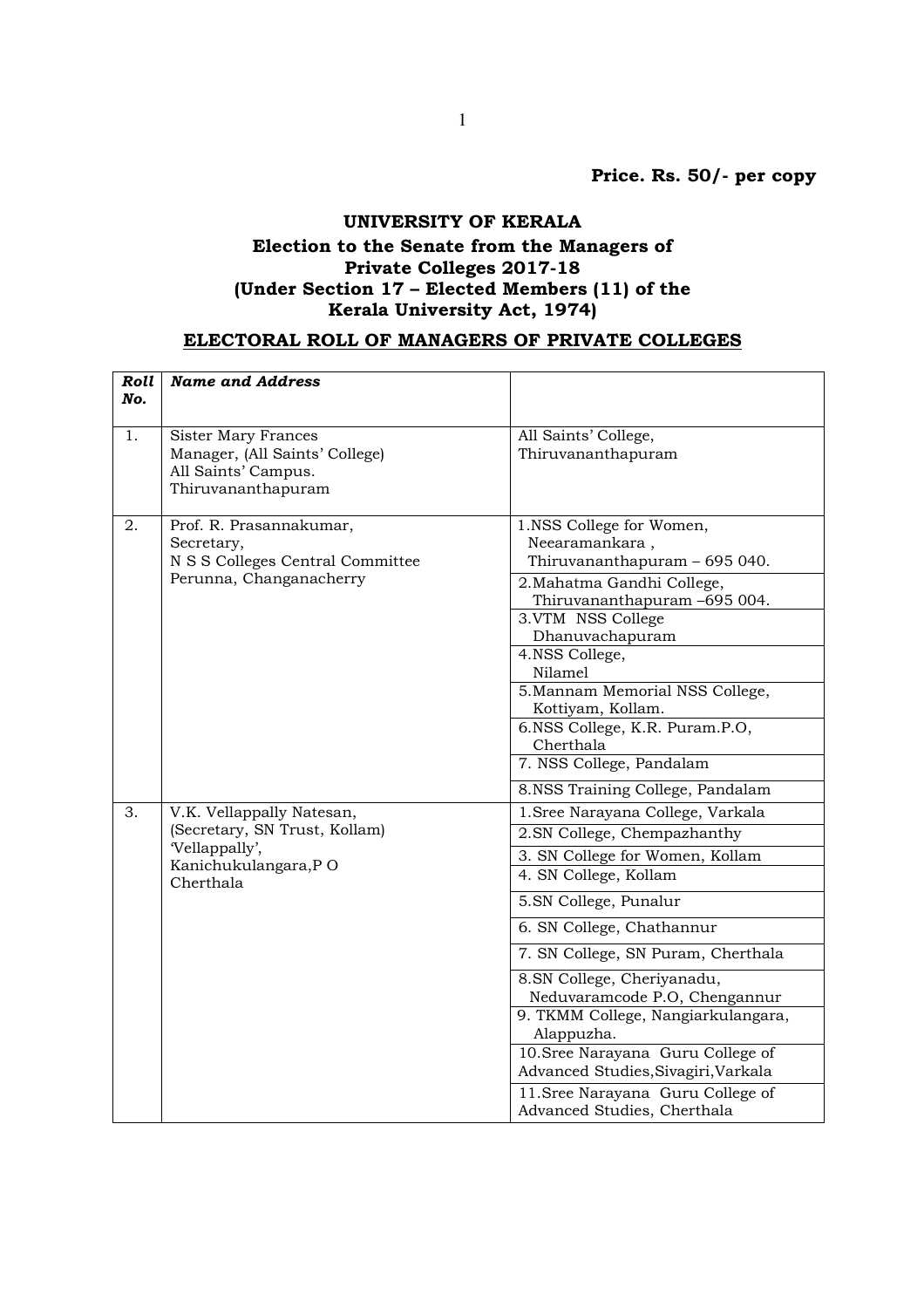Price. Rs. 50/- per copy

## UNIVERSITY OF KERALA

## Election to the Senate from the Managers of Private Colleges 2017-18 (Under Section 17 – Elected Members (11) of the Kerala University Act, 1974)

## ELECTORAL ROLL OF MANAGERS OF PRIVATE COLLEGES

| Roll<br>No. | <b>Name and Address</b>                                                                                   |                                                                             |
|-------------|-----------------------------------------------------------------------------------------------------------|-----------------------------------------------------------------------------|
| 1.          | <b>Sister Mary Frances</b><br>Manager, (All Saints' College)<br>All Saints' Campus.<br>Thiruvananthapuram | All Saints' College,<br>Thiruvananthapuram                                  |
| 2.          | Prof. R. Prasannakumar,<br>Secretary,<br>N S S Colleges Central Committee<br>Perunna, Changanacherry      | 1.NSS College for Women,<br>Neearamankara,<br>Thiruvananthapuram - 695 040. |
|             |                                                                                                           | 2. Mahatma Gandhi College,<br>Thiruvananthapuram -695 004.                  |
|             |                                                                                                           | 3.VTM NSS College<br>Dhanuvachapuram                                        |
|             |                                                                                                           | 4.NSS College,<br>Nilamel                                                   |
|             |                                                                                                           | 5. Mannam Memorial NSS College,<br>Kottiyam, Kollam.                        |
|             |                                                                                                           | 6.NSS College, K.R. Puram.P.O,<br>Cherthala                                 |
|             |                                                                                                           | 7. NSS College, Pandalam                                                    |
|             |                                                                                                           | 8.NSS Training College, Pandalam                                            |
| 3.          | V.K. Vellappally Natesan,                                                                                 | 1. Sree Narayana College, Varkala                                           |
|             | (Secretary, SN Trust, Kollam)<br>'Vellappally',<br>Kanichukulangara, PO<br>Cherthala                      | 2.SN College, Chempazhanthy                                                 |
|             |                                                                                                           | 3. SN College for Women, Kollam<br>4. SN College, Kollam                    |
|             |                                                                                                           |                                                                             |
|             |                                                                                                           | 5.SN College, Punalur                                                       |
|             |                                                                                                           | 6. SN College, Chathannur                                                   |
|             |                                                                                                           | 7. SN College, SN Puram, Cherthala                                          |
|             |                                                                                                           | 8.SN College, Cheriyanadu,<br>Neduvaramcode P.O, Chengannur                 |
|             |                                                                                                           | 9. TKMM College, Nangiarkulangara,<br>Alappuzha.                            |
|             |                                                                                                           | 10. Sree Narayana Guru College of<br>Advanced Studies, Sivagiri, Varkala    |
|             |                                                                                                           | 11. Sree Narayana Guru College of<br>Advanced Studies, Cherthala            |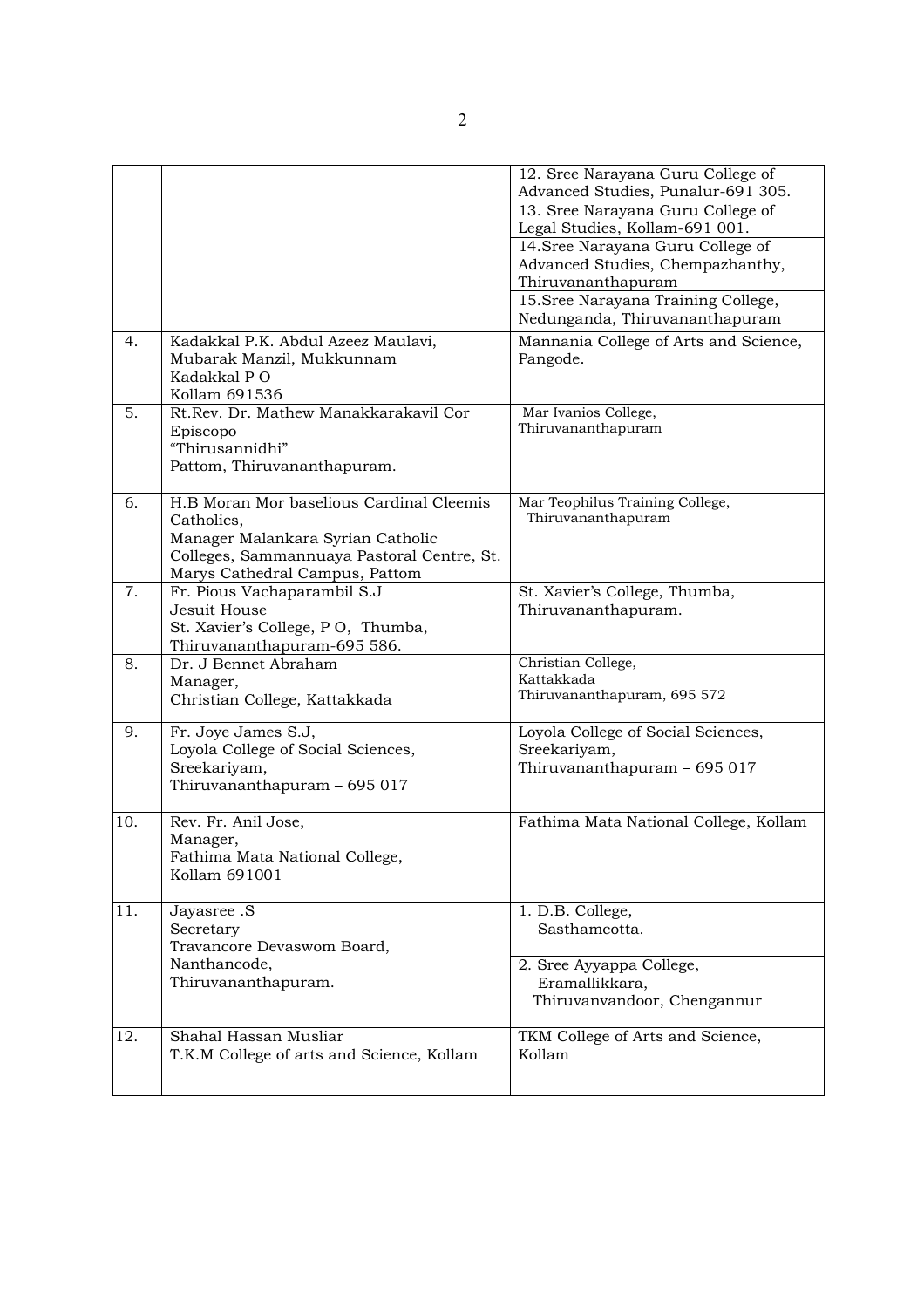|     |                                                                                                                                                                             | 12. Sree Narayana Guru College of<br>Advanced Studies, Punalur-691 305.                     |
|-----|-----------------------------------------------------------------------------------------------------------------------------------------------------------------------------|---------------------------------------------------------------------------------------------|
|     |                                                                                                                                                                             | 13. Sree Narayana Guru College of<br>Legal Studies, Kollam-691 001.                         |
|     |                                                                                                                                                                             | 14. Sree Narayana Guru College of<br>Advanced Studies, Chempazhanthy,<br>Thiruvananthapuram |
|     |                                                                                                                                                                             | 15. Sree Narayana Training College,<br>Nedunganda, Thiruvananthapuram                       |
| 4.  | Kadakkal P.K. Abdul Azeez Maulavi,<br>Mubarak Manzil, Mukkunnam<br>Kadakkal PO<br>Kollam 691536                                                                             | Mannania College of Arts and Science,<br>Pangode.                                           |
| 5.  | Rt.Rev. Dr. Mathew Manakkarakavil Cor<br>Episcopo<br>"Thirusannidhi"<br>Pattom, Thiruvananthapuram.                                                                         | Mar Ivanios College,<br>Thiruvananthapuram                                                  |
| 6.  | H.B Moran Mor baselious Cardinal Cleemis<br>Catholics,<br>Manager Malankara Syrian Catholic<br>Colleges, Sammannuaya Pastoral Centre, St.<br>Marys Cathedral Campus, Pattom | Mar Teophilus Training College,<br>Thiruvananthapuram                                       |
| 7.  | Fr. Pious Vachaparambil S.J<br>Jesuit House<br>St. Xavier's College, PO, Thumba,<br>Thiruvananthapuram-695 586.                                                             | St. Xavier's College, Thumba,<br>Thiruvananthapuram.                                        |
| 8.  | Dr. J Bennet Abraham<br>Manager,<br>Christian College, Kattakkada                                                                                                           | Christian College,<br>Kattakkada<br>Thiruvananthapuram, 695 572                             |
| 9.  | Fr. Joye James S.J,<br>Loyola College of Social Sciences,<br>Sreekariyam,<br>Thiruvananthapuram - 695 017                                                                   | Loyola College of Social Sciences,<br>Sreekariyam,<br>Thiruvananthapuram - 695 017          |
| 10. | Rev. Fr. Anil Jose,<br>Manager,<br>Fathima Mata National College,<br>Kollam 691001                                                                                          | Fathima Mata National College, Kollam                                                       |
| 11. | Jayasree .S<br>Secretary<br>Travancore Devaswom Board,                                                                                                                      | 1. D.B. College,<br>Sasthamcotta.                                                           |
|     | Nanthancode,<br>Thiruvananthapuram.                                                                                                                                         | 2. Sree Ayyappa College,<br>Eramallikkara,<br>Thiruvanvandoor, Chengannur                   |
| 12. | Shahal Hassan Musliar<br>T.K.M College of arts and Science, Kollam                                                                                                          | TKM College of Arts and Science,<br>Kollam                                                  |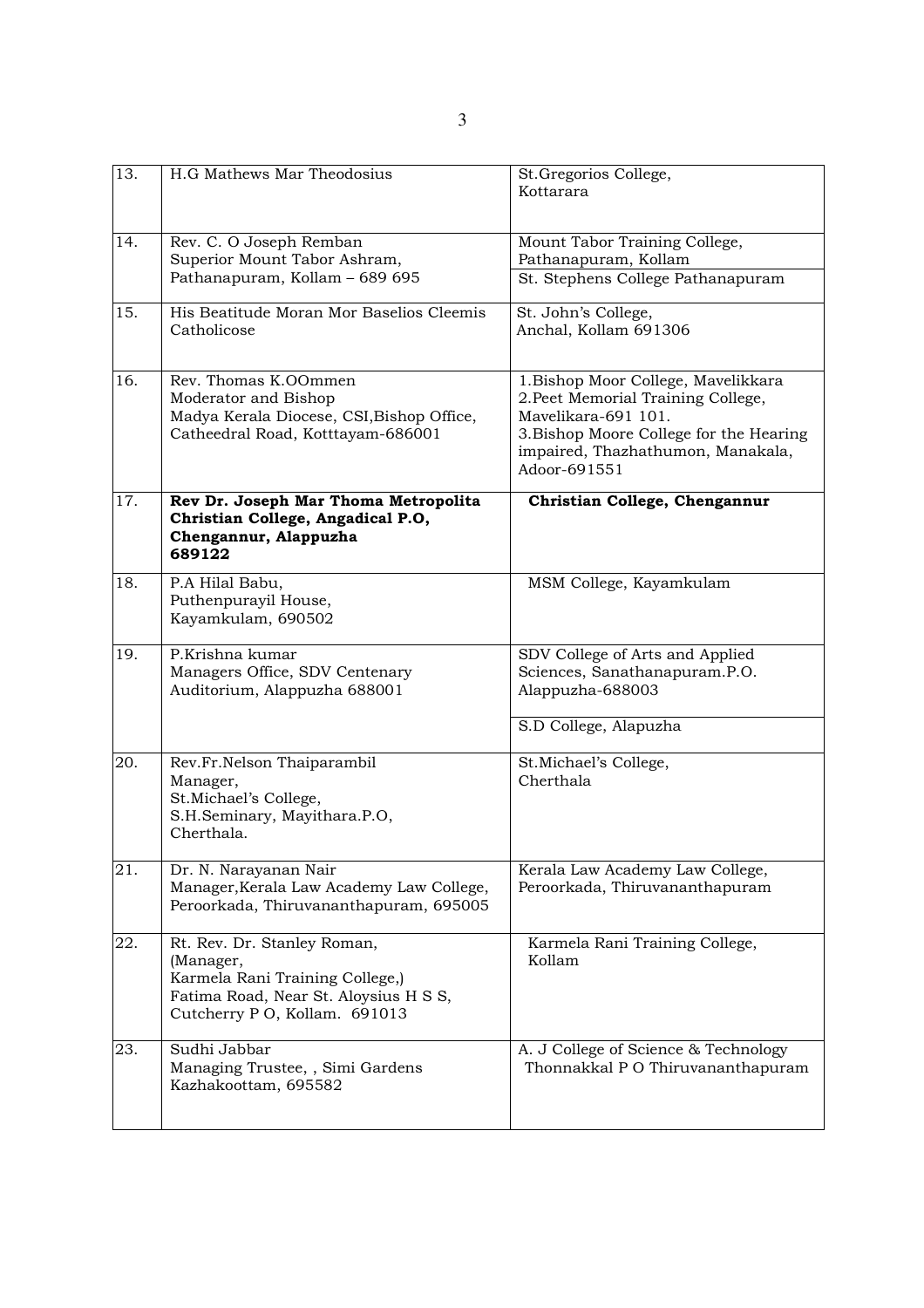| 13.               | H.G Mathews Mar Theodosius                                                                                                                           | St.Gregorios College,<br>Kottarara                                                                                                                                                               |
|-------------------|------------------------------------------------------------------------------------------------------------------------------------------------------|--------------------------------------------------------------------------------------------------------------------------------------------------------------------------------------------------|
| 14.               | Rev. C. O Joseph Remban<br>Superior Mount Tabor Ashram,<br>Pathanapuram, Kollam - 689 695                                                            | Mount Tabor Training College,<br>Pathanapuram, Kollam<br>St. Stephens College Pathanapuram                                                                                                       |
| 15.               | His Beatitude Moran Mor Baselios Cleemis<br>Catholicose                                                                                              | St. John's College,<br>Anchal, Kollam 691306                                                                                                                                                     |
| 16.               | Rev. Thomas K.OOmmen<br>Moderator and Bishop<br>Madya Kerala Diocese, CSI, Bishop Office,<br>Catheedral Road, Kotttayam-686001                       | 1. Bishop Moor College, Mavelikkara<br>2. Peet Memorial Training College,<br>Mavelikara-691 101.<br>3. Bishop Moore College for the Hearing<br>impaired, Thazhathumon, Manakala,<br>Adoor-691551 |
| 17.               | Rev Dr. Joseph Mar Thoma Metropolita<br>Christian College, Angadical P.O,<br>Chengannur, Alappuzha<br>689122                                         | Christian College, Chengannur                                                                                                                                                                    |
| 18.               | P.A Hilal Babu,<br>Puthenpurayil House,<br>Kayamkulam, 690502                                                                                        | MSM College, Kayamkulam                                                                                                                                                                          |
| 19.               | P.Krishna kumar<br>Managers Office, SDV Centenary<br>Auditorium, Alappuzha 688001                                                                    | SDV College of Arts and Applied<br>Sciences, Sanathanapuram.P.O.<br>Alappuzha-688003<br>S.D College, Alapuzha                                                                                    |
| $\overline{20}$ . | Rev.Fr.Nelson Thaiparambil<br>Manager,<br>St.Michael's College,<br>S.H.Seminary, Mayithara.P.O,<br>Cherthala.                                        | St.Michael's College,<br>Cherthala                                                                                                                                                               |
| 21.               | Dr. N. Narayanan Nair<br>Manager, Kerala Law Academy Law College,<br>Peroorkada, Thiruvananthapuram, 695005                                          | Kerala Law Academy Law College,<br>Peroorkada, Thiruvananthapuram                                                                                                                                |
| 22.               | Rt. Rev. Dr. Stanley Roman,<br>(Manager,<br>Karmela Rani Training College,)<br>Fatima Road, Near St. Aloysius H S S,<br>Cutcherry PO, Kollam. 691013 | Karmela Rani Training College,<br>Kollam                                                                                                                                                         |
| 23.               | Sudhi Jabbar<br>Managing Trustee, , Simi Gardens<br>Kazhakoottam, 695582                                                                             | A. J College of Science & Technology<br>Thonnakkal PO Thiruvananthapuram                                                                                                                         |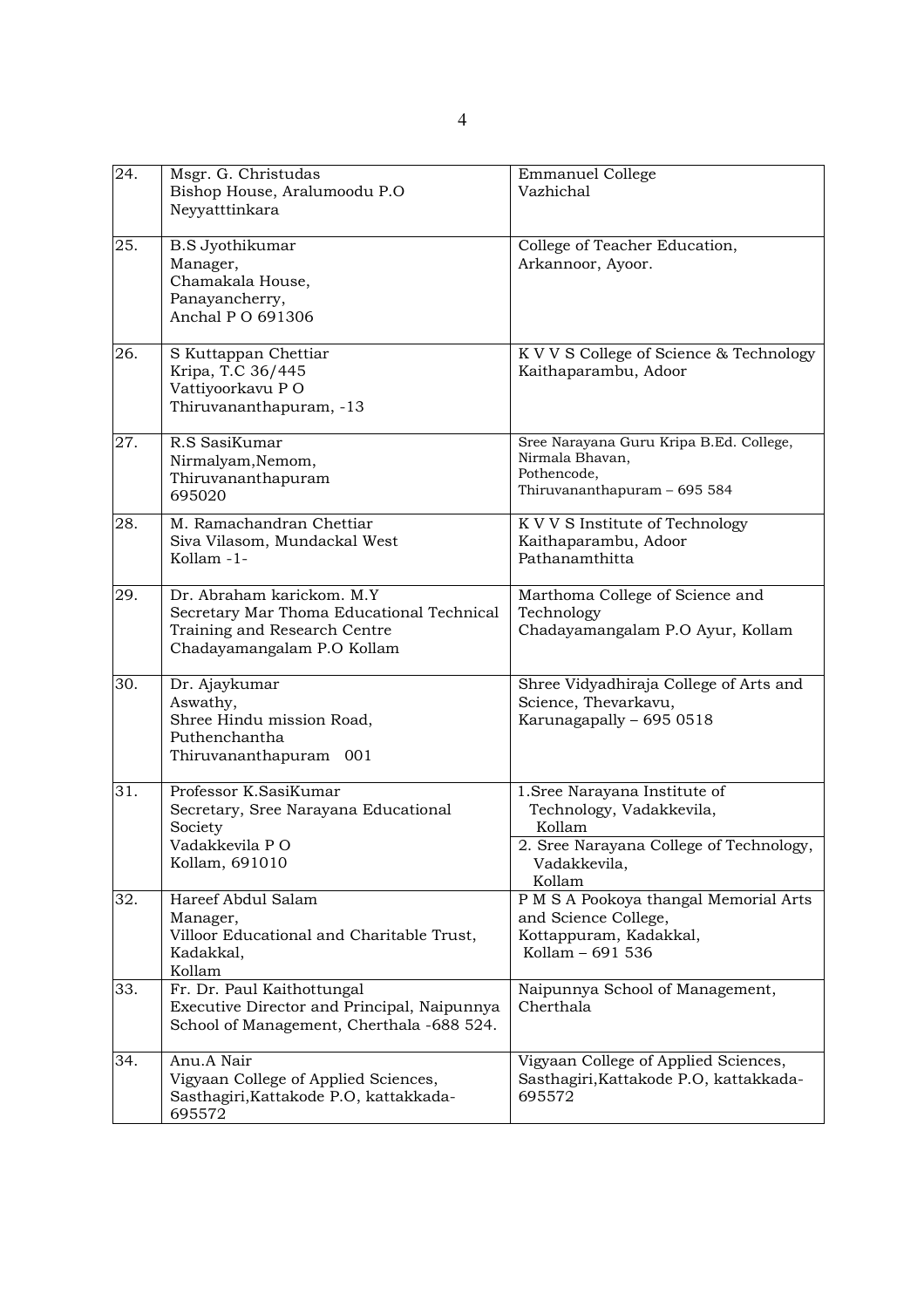| 24. | Msgr. G. Christudas<br>Bishop House, Aralumoodu P.O<br>Neyyatttinkara                                                                | Emmanuel College<br>Vazhichal                                                                                                           |
|-----|--------------------------------------------------------------------------------------------------------------------------------------|-----------------------------------------------------------------------------------------------------------------------------------------|
| 25. | <b>B.S Jyothikumar</b><br>Manager,<br>Chamakala House,<br>Panayancherry,<br>Anchal P O 691306                                        | College of Teacher Education,<br>Arkannoor, Ayoor.                                                                                      |
| 26. | S Kuttappan Chettiar<br>Kripa, T.C 36/445<br>Vattiyoorkavu PO<br>Thiruvananthapuram, -13                                             | K V V S College of Science & Technology<br>Kaithaparambu, Adoor                                                                         |
| 27. | R.S SasiKumar<br>Nirmalyam, Nemom,<br>Thiruvananthapuram<br>695020                                                                   | Sree Narayana Guru Kripa B.Ed. College,<br>Nirmala Bhavan,<br>Pothencode,<br>Thiruvananthapuram - 695 584                               |
| 28. | M. Ramachandran Chettiar<br>Siva Vilasom, Mundackal West<br>$Kollam -1-$                                                             | K V V S Institute of Technology<br>Kaithaparambu, Adoor<br>Pathanamthitta                                                               |
| 29. | Dr. Abraham karickom. M.Y<br>Secretary Mar Thoma Educational Technical<br>Training and Research Centre<br>Chadayamangalam P.O Kollam | Marthoma College of Science and<br>Technology<br>Chadayamangalam P.O Ayur, Kollam                                                       |
| 30. | Dr. Ajaykumar<br>Aswathy,<br>Shree Hindu mission Road,<br>Puthenchantha<br>Thiruvananthapuram 001                                    | Shree Vidyadhiraja College of Arts and<br>Science, Thevarkavu,<br>Karunagapally - 695 0518                                              |
| 31. | Professor K.SasiKumar<br>Secretary, Sree Narayana Educational<br>Society<br>Vadakkevila PO<br>Kollam, 691010                         | 1.Sree Narayana Institute of<br>Technology, Vadakkevila,<br>Kollam<br>2. Sree Narayana College of Technology,<br>Vadakkevila,<br>Kollam |
| 32. | Hareef Abdul Salam<br>Manager,<br>Villoor Educational and Charitable Trust,<br>Kadakkal,<br>Kollam                                   | P M S A Pookoya thangal Memorial Arts<br>and Science College,<br>Kottappuram, Kadakkal,<br>Kollam - 691 536                             |
| 33. | Fr. Dr. Paul Kaithottungal<br>Executive Director and Principal, Naipunnya<br>School of Management, Cherthala -688 524.               | Naipunnya School of Management,<br>Cherthala                                                                                            |
| 34. | Anu.A Nair<br>Vigyaan College of Applied Sciences,<br>Sasthagiri, Kattakode P.O, kattakkada-<br>695572                               | Vigyaan College of Applied Sciences,<br>Sasthagiri, Kattakode P.O, kattakkada-<br>695572                                                |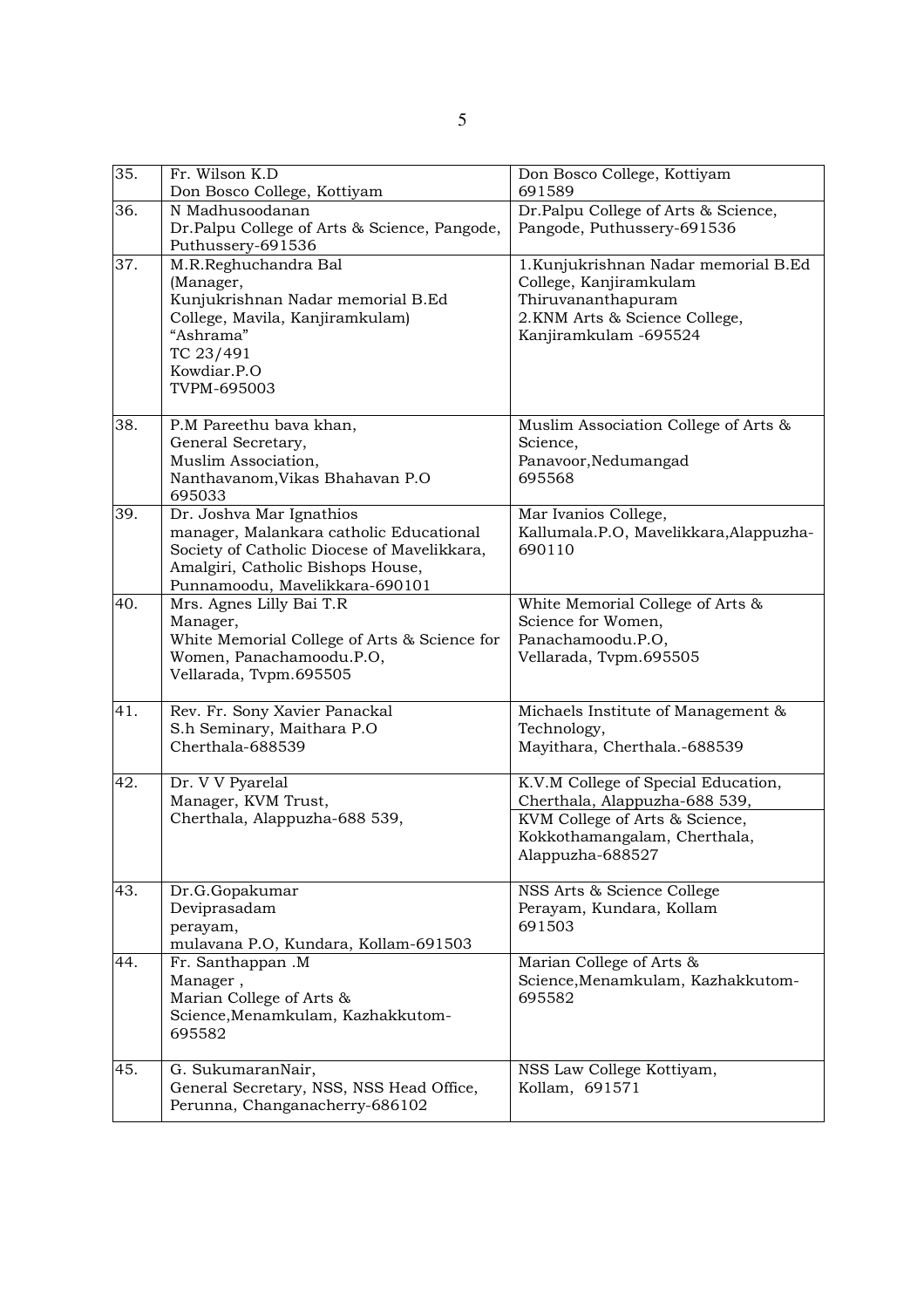| 35. | Fr. Wilson K.D<br>Don Bosco College, Kottiyam                                                                                                                                             | Don Bosco College, Kottiyam<br>691589                                                                                                                      |
|-----|-------------------------------------------------------------------------------------------------------------------------------------------------------------------------------------------|------------------------------------------------------------------------------------------------------------------------------------------------------------|
| 36. | N Madhusoodanan<br>Dr.Palpu College of Arts & Science, Pangode,<br>Puthussery-691536                                                                                                      | Dr.Palpu College of Arts & Science,<br>Pangode, Puthussery-691536                                                                                          |
| 37. | M.R.Reghuchandra Bal<br>(Manager,<br>Kunjukrishnan Nadar memorial B.Ed<br>College, Mavila, Kanjiramkulam)<br>"Ashrama"<br>TC 23/491<br>Kowdiar.P.O<br>TVPM-695003                         | 1. Kunjukrishnan Nadar memorial B.Ed<br>College, Kanjiramkulam<br>Thiruvananthapuram<br>2.KNM Arts & Science College,<br>Kanjiramkulam -695524             |
| 38. | P.M Pareethu bava khan,<br>General Secretary,<br>Muslim Association,<br>Nanthavanom, Vikas Bhahavan P.O<br>695033                                                                         | Muslim Association College of Arts &<br>Science,<br>Panavoor, Nedumangad<br>695568                                                                         |
| 39. | Dr. Joshva Mar Ignathios<br>manager, Malankara catholic Educational<br>Society of Catholic Diocese of Mavelikkara,<br>Amalgiri, Catholic Bishops House,<br>Punnamoodu, Mavelikkara-690101 | Mar Ivanios College,<br>Kallumala.P.O, Mavelikkara, Alappuzha-<br>690110                                                                                   |
| 40. | Mrs. Agnes Lilly Bai T.R<br>Manager,<br>White Memorial College of Arts & Science for<br>Women, Panachamoodu.P.O,<br>Vellarada, Tvpm.695505                                                | White Memorial College of Arts &<br>Science for Women,<br>Panachamoodu.P.O,<br>Vellarada, Tvpm.695505                                                      |
| 41. | Rev. Fr. Sony Xavier Panackal<br>S.h Seminary, Maithara P.O<br>Cherthala-688539                                                                                                           | Michaels Institute of Management &<br>Technology,<br>Mayithara, Cherthala.-688539                                                                          |
| 42. | Dr. V V Pyarelal<br>Manager, KVM Trust,<br>Cherthala, Alappuzha-688 539,                                                                                                                  | K.V.M College of Special Education,<br>Cherthala, Alappuzha-688 539,<br>KVM College of Arts & Science,<br>Kokkothamangalam, Cherthala,<br>Alappuzha-688527 |
| 43. | Dr.G.Gopakumar<br>Deviprasadam<br>perayam,<br>mulavana P.O, Kundara, Kollam-691503                                                                                                        | NSS Arts & Science College<br>Perayam, Kundara, Kollam<br>691503                                                                                           |
| 44. | Fr. Santhappan .M<br>Manager,<br>Marian College of Arts &<br>Science, Menamkulam, Kazhakkutom-<br>695582                                                                                  | Marian College of Arts &<br>Science, Menamkulam, Kazhakkutom-<br>695582                                                                                    |
| 45. | G. SukumaranNair,<br>General Secretary, NSS, NSS Head Office,<br>Perunna, Changanacherry-686102                                                                                           | NSS Law College Kottiyam,<br>Kollam, 691571                                                                                                                |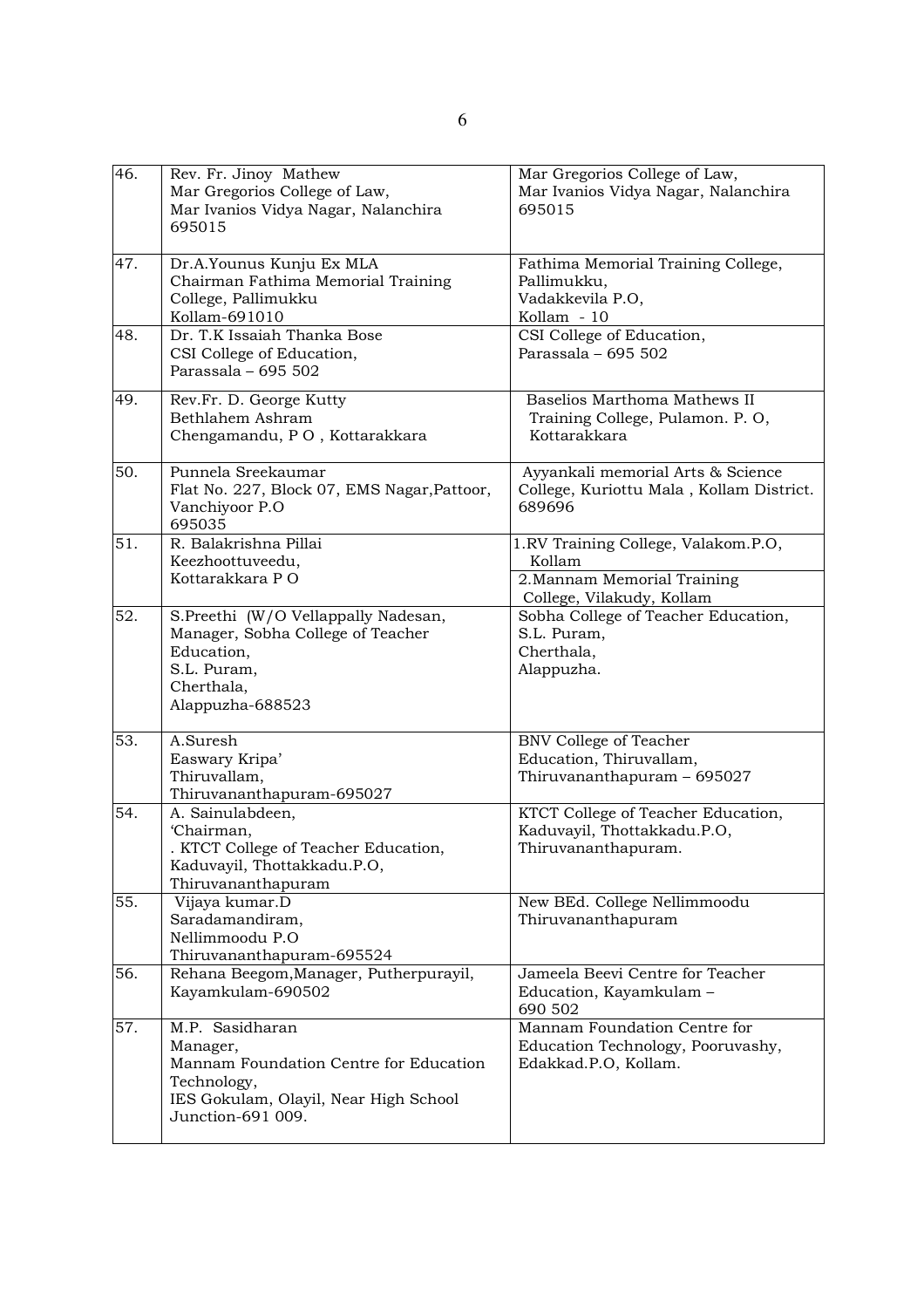| 46. | Rev. Fr. Jinoy Mathew<br>Mar Gregorios College of Law,<br>Mar Ivanios Vidya Nagar, Nalanchira<br>695015                                            | Mar Gregorios College of Law,<br>Mar Ivanios Vidya Nagar, Nalanchira<br>695015                            |
|-----|----------------------------------------------------------------------------------------------------------------------------------------------------|-----------------------------------------------------------------------------------------------------------|
| 47. | Dr.A.Younus Kunju Ex MLA<br>Chairman Fathima Memorial Training<br>College, Pallimukku                                                              | Fathima Memorial Training College,<br>Pallimukku,<br>Vadakkevila P.O,                                     |
| 48. | Kollam-691010<br>Dr. T.K Issaiah Thanka Bose<br>CSI College of Education,<br>Parassala - $695,502$                                                 | Kollam - 10<br>CSI College of Education,<br>Parassala - 695 502                                           |
| 49. | Rev.Fr. D. George Kutty<br>Bethlahem Ashram<br>Chengamandu, PO, Kottarakkara                                                                       | Baselios Marthoma Mathews II<br>Training College, Pulamon. P.O.<br>Kottarakkara                           |
| 50. | Punnela Sreekaumar<br>Flat No. 227, Block 07, EMS Nagar, Pattoor,<br>Vanchiyoor P.O<br>695035                                                      | Ayyankali memorial Arts & Science<br>College, Kuriottu Mala, Kollam District.<br>689696                   |
| 51. | R. Balakrishna Pillai<br>Keezhoottuveedu,<br>Kottarakkara PO                                                                                       | 1.RV Training College, Valakom.P.O,<br>Kollam<br>2. Mannam Memorial Training<br>College, Vilakudy, Kollam |
| 52. | S.Preethi (W/O Vellappally Nadesan,<br>Manager, Sobha College of Teacher<br>Education,<br>S.L. Puram,<br>Cherthala,<br>Alappuzha-688523            | Sobha College of Teacher Education,<br>S.L. Puram,<br>Cherthala,<br>Alappuzha.                            |
| 53. | A.Suresh<br>Easwary Kripa'<br>Thiruvallam,<br>Thiruvananthapuram-695027                                                                            | <b>BNV College of Teacher</b><br>Education, Thiruvallam,<br>Thiruvananthapuram - 695027                   |
| 54. | A. Sainulabdeen,<br>'Chairman,<br>. KTCT College of Teacher Education,<br>Kaduvayil, Thottakkadu.P.O,<br>Thiruvananthapuram                        | KTCT College of Teacher Education,<br>Kaduvayil, Thottakkadu.P.O,<br>Thiruvananthapuram.                  |
| 55. | Vijaya kumar.D<br>Saradamandiram,<br>Nellimmoodu P.O<br>Thiruvananthapuram-695524                                                                  | New BEd. College Nellimmoodu<br>Thiruvananthapuram                                                        |
| 56. | Rehana Beegom, Manager, Putherpurayil,<br>Kayamkulam-690502                                                                                        | Jameela Beevi Centre for Teacher<br>Education, Kayamkulam -<br>690 502                                    |
| 57. | M.P. Sasidharan<br>Manager,<br>Mannam Foundation Centre for Education<br>Technology,<br>IES Gokulam, Olayil, Near High School<br>Junction-691 009. | Mannam Foundation Centre for<br>Education Technology, Pooruvashy,<br>Edakkad.P.O, Kollam.                 |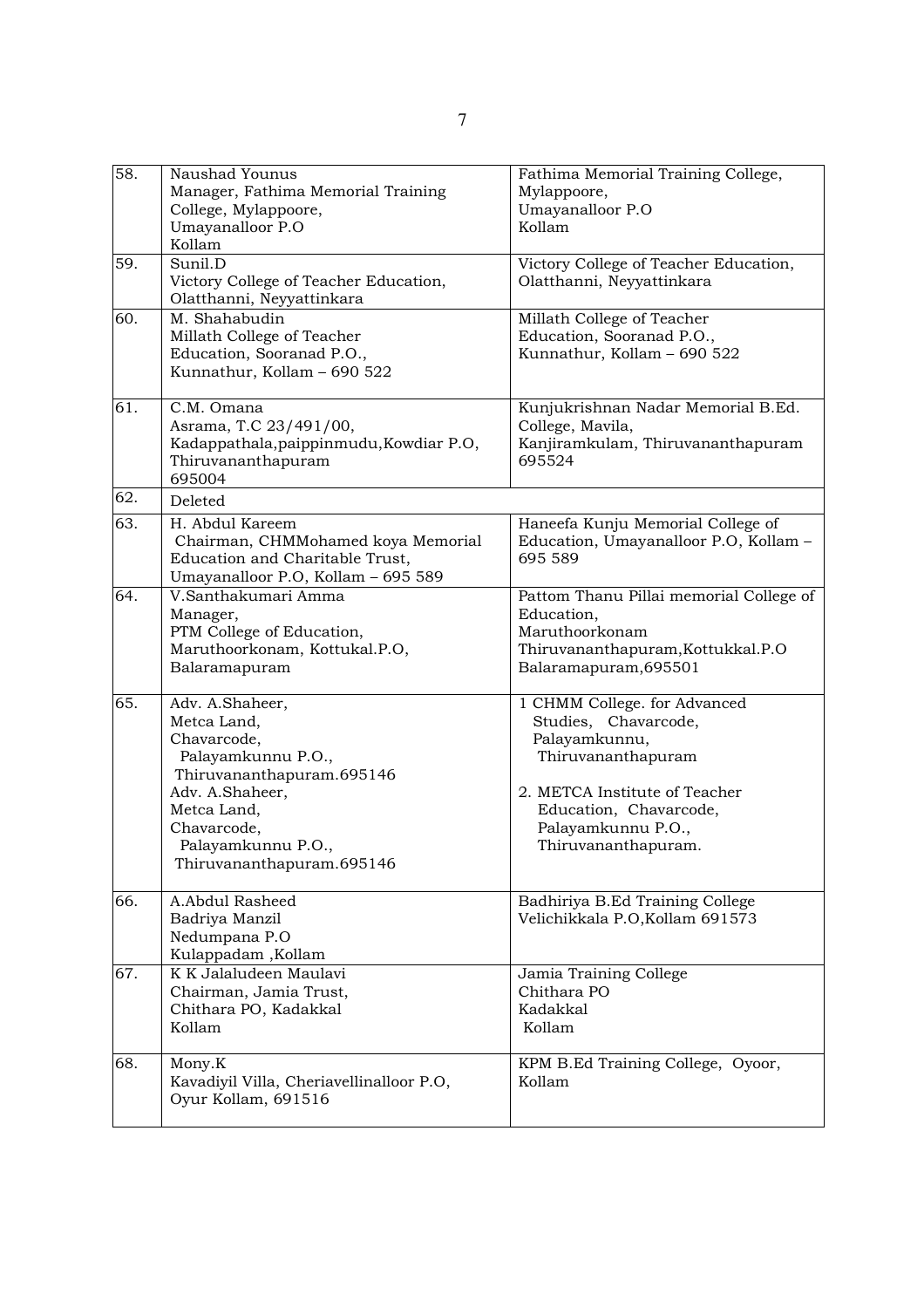| 58. | Naushad Younus<br>Manager, Fathima Memorial Training<br>College, Mylappoore,<br>Umayanalloor P.O<br>Kollam                                                                                           | Fathima Memorial Training College,<br>Mylappoore,<br>Umayanalloor P.O<br>Kollam                                                                                                                     |
|-----|------------------------------------------------------------------------------------------------------------------------------------------------------------------------------------------------------|-----------------------------------------------------------------------------------------------------------------------------------------------------------------------------------------------------|
| 59. | Sunil.D<br>Victory College of Teacher Education,<br>Olatthanni, Neyyattinkara                                                                                                                        | Victory College of Teacher Education,<br>Olatthanni, Neyyattinkara                                                                                                                                  |
| 60. | M. Shahabudin<br>Millath College of Teacher<br>Education, Sooranad P.O.,<br>Kunnathur, Kollam - 690 522                                                                                              | Millath College of Teacher<br>Education, Sooranad P.O.,<br>Kunnathur, Kollam - 690 522                                                                                                              |
| 61. | C.M. Omana<br>Asrama, T.C 23/491/00,<br>Kadappathala, paippinmudu, Kowdiar P.O,<br>Thiruvananthapuram<br>695004                                                                                      | Kunjukrishnan Nadar Memorial B.Ed.<br>College, Mavila,<br>Kanjiramkulam, Thiruvananthapuram<br>695524                                                                                               |
| 62. | Deleted                                                                                                                                                                                              |                                                                                                                                                                                                     |
| 63. | H. Abdul Kareem<br>Chairman, CHMMohamed koya Memorial<br>Education and Charitable Trust,<br>Umayanalloor P.O, Kollam - 695 589                                                                       | Haneefa Kunju Memorial College of<br>Education, Umayanalloor P.O, Kollam -<br>695 589                                                                                                               |
| 64. | V.Santhakumari Amma<br>Manager,<br>PTM College of Education,<br>Maruthoorkonam, Kottukal.P.O,<br>Balaramapuram                                                                                       | Pattom Thanu Pillai memorial College of<br>Education,<br>Maruthoorkonam<br>Thiruvananthapuram, Kottukkal.P.O<br>Balaramapuram, 695501                                                               |
| 65. | Adv. A.Shaheer,<br>Metca Land,<br>Chavarcode,<br>Palayamkunnu P.O.,<br>Thiruvananthapuram.695146<br>Adv. A.Shaheer,<br>Metca Land,<br>Chavarcode,<br>Palayamkunnu P.O.,<br>Thiruvananthapuram.695146 | 1 CHMM College. for Advanced<br>Studies, Chavarcode,<br>Palayamkunnu,<br>Thiruvananthapuram<br>2. METCA Institute of Teacher<br>Education, Chavarcode,<br>Palayamkunnu P.O.,<br>Thiruvananthapuram. |
| 66. | A.Abdul Rasheed<br>Badriya Manzil<br>Nedumpana P.O<br>Kulappadam, Kollam                                                                                                                             | Badhiriya B.Ed Training College<br>Velichikkala P.O, Kollam 691573                                                                                                                                  |
| 67. | K K Jalaludeen Maulavi<br>Chairman, Jamia Trust,<br>Chithara PO, Kadakkal<br>Kollam                                                                                                                  | Jamia Training College<br>Chithara PO<br>Kadakkal<br>Kollam                                                                                                                                         |
| 68. | Mony.K<br>Kavadiyil Villa, Cheriavellinalloor P.O,<br>Oyur Kollam, 691516                                                                                                                            | KPM B.Ed Training College, Oyoor,<br>Kollam                                                                                                                                                         |